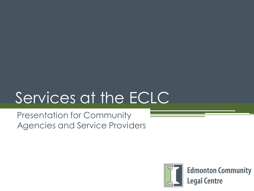# Services at the ECLC

Presentation for Community Agencies and Service Providers



**Edmonton Community Legal Centre**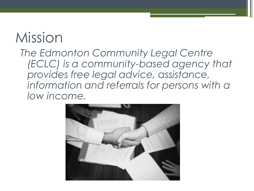### Mission

*The Edmonton Community Legal Centre (ECLC) is a community-based agency that provides free legal advice, assistance, information and referrals for persons with a low income.*

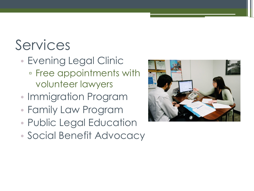## Services

- Evening Legal Clinic ▫ Free appointments with volunteer lawyers
- Immigration Program
- Family Law Program
- Public Legal Education
- Social Benefit Advocacy

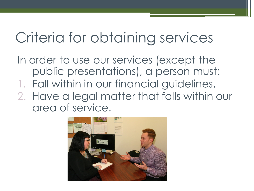#### Criteria for obtaining services

- In order to use our services (except the public presentations), a person must:
- 1. Fall within in our financial guidelines.
- 2. Have a legal matter that falls within our area of service.

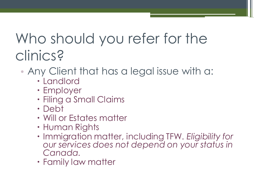#### Who should you refer for the clinics?

- Any Client that has a legal issue with a:
	- Landlord
	- Employer
	- Filing a Small Claims
	- Debt
	- Will or Estates matter
	- Human Rights
	- Immigration matter, including TFW. *Eligibility for our services does not depend on your status in Canada.*
	- Family law matter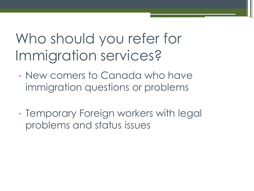#### Who should you refer for Immigration services?

- New comers to Canada who have immigration questions or problems
- Temporary Foreign workers with legal problems and status issues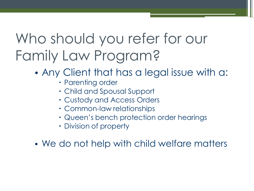#### Who should you refer for our Family Law Program?

- Any Client that has a legal issue with a:
	- Parenting order
	- Child and Spousal Support
	- Custody and Access Orders
	- Common-law relationships
	- Queen's bench protection order hearings
	- Division of property
- We do not help with child welfare matters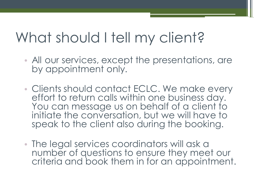#### What should I tell my client?

- All our services, except the presentations, are by appointment only.
- Clients should contact ECLC. We make every effort to return calls within one business day. You can message us on behalf of a client to initiate the conversation, but we will have to speak to the client also during the booking.
- The legal services coordinators will ask a number of questions to ensure they meet our criteria and book them in for an appointment.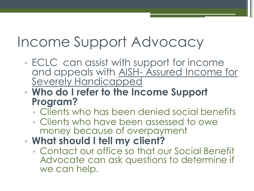#### Income Support Advocacy

- ECLC can assist with support for income and appeals with AISH- Assured Income for Severely Handicapped
- **Who do I refer to the Income Support Program?** 
	- Clients who has been denied social benefits
	- Clients who have been assessed to owe money because of overpayment
- **What should I tell my client?** 
	- Contact our office so that our Social Benefit Advocate can ask questions to determine if we can help.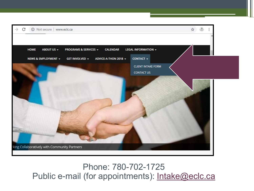

#### Phone: 780-702-1725 Public e-mail (for appointments): [Intake@eclc.ca](mailto:Intake@eclc.ca)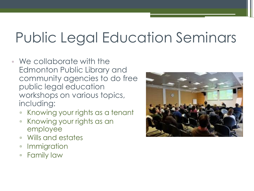## Public Legal Education Seminars

- We collaborate with the Edmonton Public Library and community agencies to do free public legal education workshops on various topics, including:
	- Knowing your rights as a tenant
	- Knowing your rights as an employee
	- Wills and estates
	- Immigration
	- Family law

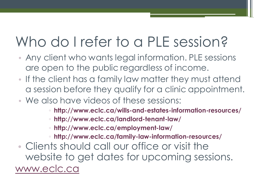#### Who do I refer to a PLE session?

- Any client who wants legal information. PLE sessions are open to the public regardless of income.
- If the client has a family law matter they must attend a session before they qualify for a clinic appointment.
- We also have videos of these sessions:
	- **http://www.eclc.ca/wills-and-estates-information-resources/**
	- **http://www.eclc.ca/landlord-tenant-law/**
	- **http://www.eclc.ca/employment-law/**
	- **http://www.eclc.ca/family-law-information-resources/**
- Clients should call our office or visit the website to get dates for upcoming sessions. [www.eclc.ca](http://www.eclc.ca/)